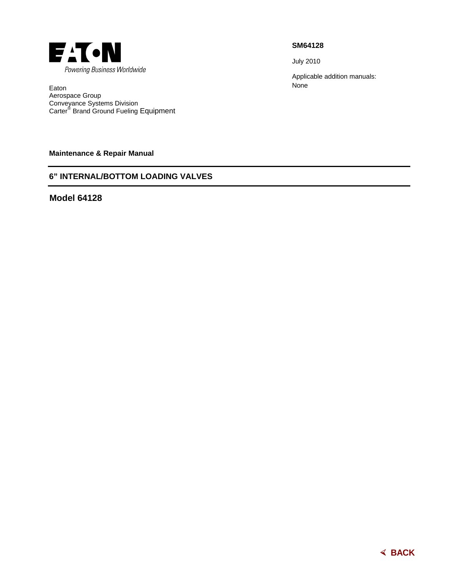

Eaton Aerospace Group Conveyance Systems Division Carter® Brand Ground Fueling Equipment

**Maintenance & Repair Manual** 

# **6" INTERNAL/BOTTOM LOADING VALVES**

**Model 64128** 

**SM64128** 

July 2010

Applicable addition manuals: None

break. The underwing nozzle, a derivation of the 64348,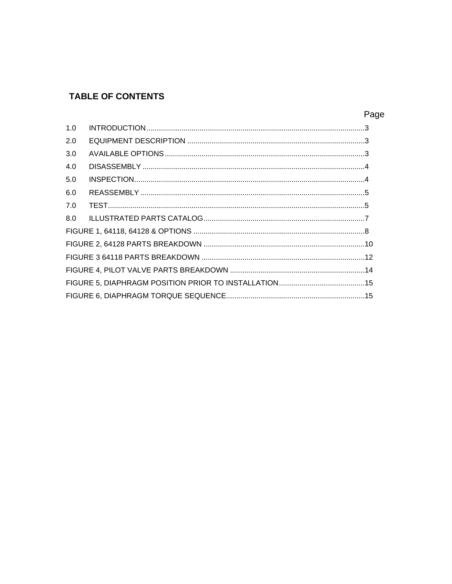# **TABLE OF CONTENTS**

| 1.0 |  |
|-----|--|
| 2.0 |  |
| 3.0 |  |
| 4.0 |  |
| 5.0 |  |
| 6.0 |  |
| 7.0 |  |
| 8.0 |  |
|     |  |
|     |  |
|     |  |
|     |  |
|     |  |
|     |  |

# Page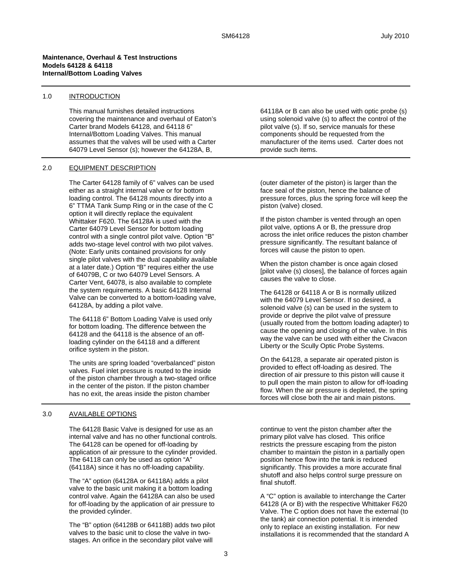#### **Maintenance, Overhaul & Test Instructions Models 64128 & 64118 Internal/Bottom Loading Valves**

#### 1.0 INTRODUCTION

This manual furnishes detailed instructions covering the maintenance and overhaul of Eaton's Carter brand Models 64128, and 64118 6" Internal/Bottom Loading Valves. This manual assumes that the valves will be used with a Carter 64079 Level Sensor (s); however the 64128A, B,

#### 2.0 EQUIPMENT DESCRIPTION

The Carter 64128 family of 6" valves can be used either as a straight internal valve or for bottom loading control. The 64128 mounts directly into a 6" TTMA Tank Sump Ring or in the case of the C option it will directly replace the equivalent Whittaker F620. The 64128A is used with the Carter 64079 Level Sensor for bottom loading control with a single control pilot valve. Option "B" adds two-stage level control with two pilot valves. (Note: Early units contained provisions for only single pilot valves with the dual capability available at a later date.) Option "B" requires either the use of 64079B, C or two 64079 Level Sensors. A Carter Vent, 64078, is also available to complete the system requirements. A basic 64128 Internal Valve can be converted to a bottom-loading valve, 64128A, by adding a pilot valve.

The 64118 6" Bottom Loading Valve is used only for bottom loading. The difference between the 64128 and the 64118 is the absence of an offloading cylinder on the 64118 and a different orifice system in the piston.

The units are spring loaded "overbalanced" piston valves. Fuel inlet pressure is routed to the inside of the piston chamber through a two-staged orifice in the center of the piston. If the piston chamber has no exit, the areas inside the piston chamber

#### 3.0 AVAILABLE OPTIONS

The 64128 Basic Valve is designed for use as an internal valve and has no other functional controls. The 64128 can be opened for off-loading by application of air pressure to the cylinder provided. The 64118 can only be used as option "A" (64118A) since it has no off-loading capability.

The "A" option (64128A or 64118A) adds a pilot valve to the basic unit making it a bottom loading control valve. Again the 64128A can also be used for off-loading by the application of air pressure to the provided cylinder.

The "B" option (64128B or 64118B) adds two pilot valves to the basic unit to close the valve in twostages. An orifice in the secondary pilot valve will

64118A or B can also be used with optic probe (s) using solenoid valve (s) to affect the control of the pilot valve (s). If so, service manuals for these components should be requested from the manufacturer of the items used. Carter does not provide such items.

(outer diameter of the piston) is larger than the face seal of the piston, hence the balance of pressure forces, plus the spring force will keep the piston (valve) closed.

If the piston chamber is vented through an open pilot valve, options A or B, the pressure drop across the inlet orifice reduces the piston chamber pressure significantly. The resultant balance of forces will cause the piston to open.

When the piston chamber is once again closed [pilot valve (s) closes], the balance of forces again causes the valve to close.

The 64128 or 64118 A or B is normally utilized with the 64079 Level Sensor. If so desired, a solenoid valve (s) can be used in the system to provide or deprive the pilot valve of pressure (usually routed from the bottom loading adapter) to cause the opening and closing of the valve. In this way the valve can be used with either the Civacon Liberty or the Scully Optic Probe Systems.

On the 64128, a separate air operated piston is provided to effect off-loading as desired. The direction of air pressure to this piston will cause it to pull open the main piston to allow for off-loading flow. When the air pressure is depleted, the spring forces will close both the air and main pistons.

continue to vent the piston chamber after the primary pilot valve has closed. This orifice restricts the pressure escaping from the piston chamber to maintain the piston in a partially open position hence flow into the tank is reduced significantly. This provides a more accurate final shutoff and also helps control surge pressure on final shutoff.

A "C" option is available to interchange the Carter 64128 (A or B) with the respective Whittaker F620 Valve. The C option does not have the external (to the tank) air connection potential. It is intended only to replace an existing installation. For new installations it is recommended that the standard A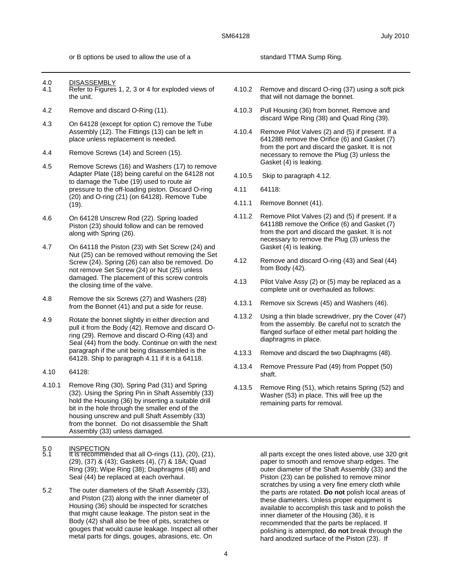or B options be used to allow the use of a standard TTMA Sump Ring.

- 4.0 DISASSEMBLY<br>4.1 Refer to Figures
- Refer to Figures 1, 2, 3 or 4 for exploded views of the unit.
- 4.2 Remove and discard O-Ring (11).
- 4.3 On 64128 (except for option C) remove the Tube Assembly (12). The Fittings (13) can be left in place unless replacement is needed.
- 4.4 Remove Screws (14) and Screen (15).
- 4.5 Remove Screws (16) and Washers (17) to remove Adapter Plate (18) being careful on the 64128 not to damage the Tube (19) used to route air pressure to the off-loading piston. Discard O-ring (20) and O-ring (21) (on 64128). Remove Tube (19).
- 4.6 On 64128 Unscrew Rod (22). Spring loaded Piston (23) should follow and can be removed along with Spring (26).
- 4.7 On 64118 the Piston (23) with Set Screw (24) and Nut (25) can be removed without removing the Set Screw (24). Spring (26) can also be removed. Do not remove Set Screw (24) or Nut (25) unless damaged. The placement of this screw controls the closing time of the valve.
- 4.8 Remove the six Screws (27) and Washers (28) from the Bonnet (41) and put a side for reuse.
- 4.9 Rotate the bonnet slightly in either direction and pull it from the Body (42). Remove and discard Oring (29). Remove and discard O-Ring (43) and Seal (44) from the body. Continue on with the next paragraph if the unit being disassembled is the 64128. Ship to paragraph 4.11 if it is a 64118.
- 4.10 64128:
- 4.10.1 Remove Ring (30), Spring Pad (31) and Spring (32). Using the Spring Pin in Shaft Assembly (33) hold the Housing (36) by inserting a suitable drill bit in the hole through the smaller end of the housing unscrew and pull Shaft Assembly (33) from the bonnet. Do not disassemble the Shaft Assembly (33) unless damaged.
- 5.0 INSPECTION<br>5.1 It is recommended that all O-rings (11), (20), (21), (29), (37) & (43); Gaskets (4), (7) & 18A; Quad Ring (39); Wipe Ring (38); Diaphragms (48) and Seal (44) be replaced at each overhaul.
- 5.2 The outer diameters of the Shaft Assembly (33), and Piston (23) along with the inner diameter of Housing (36) should be inspected for scratches that might cause leakage. The piston seat in the Body (42) shall also be free of pits, scratches or gouges that would cause leakage. Inspect all other metal parts for dings, gouges, abrasions, etc. On
- 4.10.2 Remove and discard O-ring (37) using a soft pick that will not damage the bonnet.
- 4.10.3 Pull Housing (36) from bonnet. Remove and discard Wipe Ring (38) and Quad Ring (39).
- 4.10.4 Remove Pilot Valves (2) and (5) if present. If a 64128B remove the Orifice (6) and Gasket (7) from the port and discard the gasket. It is not necessary to remove the Plug (3) unless the Gasket (4) is leaking.
- 4.10.5 Skip to paragraph 4.12.
- 4.11 64118:
- 4.11.1 Remove Bonnet (41).
- 4.11.2 Remove Pilot Valves (2) and (5) if present. If a 64118B remove the Orifice (6) and Gasket (7) from the port and discard the gasket. It is not necessary to remove the Plug (3) unless the Gasket (4) is leaking.
- 4.12 Remove and discard O-ring (43) and Seal (44) from Body (42).
- 4.13 Pilot Valve Assy (2) or (5) may be replaced as a complete unit or overhauled as follows:
- 4.13.1 Remove six Screws (45) and Washers (46).
- 4.13.2 Using a thin blade screwdriver, pry the Cover (47) from the assembly. Be careful not to scratch the flanged surface of either metal part holding the diaphragms in place.
- 4.13.3 Remove and discard the two Diaphragms (48).
- 4.13.4 Remove Pressure Pad (49) from Poppet (50) shaft.
- 4.13.5 Remove Ring (51), which retains Spring (52) and Washer (53) in place. This will free up the remaining parts for removal.

all parts except the ones listed above, use 320 grit paper to smooth and remove sharp edges. The outer diameter of the Shaft Assembly (33) and the Piston (23) can be polished to remove minor scratches by using a very fine emery cloth while the parts are rotated. **Do not** polish local areas of these diameters. Unless proper equipment is available to accomplish this task and to polish the inner diameter of the Housing (36), it is recommended that the parts be replaced. If polishing is attempted, **do not** break through the hard anodized surface of the Piston (23). If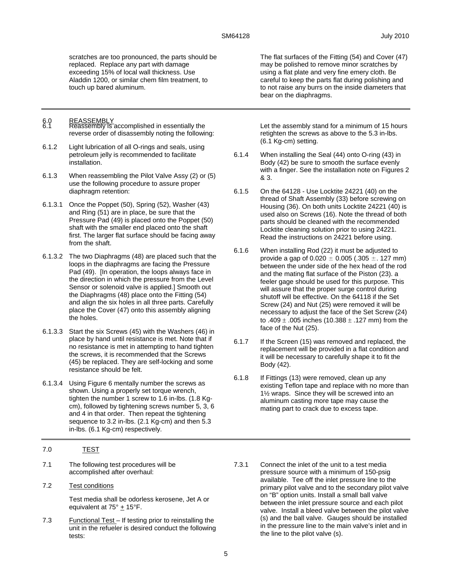scratches are too pronounced, the parts should be replaced. Replace any part with damage exceeding 15% of local wall thickness. Use Aladdin 1200, or similar chem film treatment, to touch up bared aluminum.

- 6.0 REASSEMBLY<br>6.1 Reassembly is accomplished in essentially the reverse order of disassembly noting the following:
- 6.1.2 Light lubrication of all O-rings and seals, using petroleum jelly is recommended to facilitate installation.
- 6.1.3 When reassembling the Pilot Valve Assy (2) or (5) use the following procedure to assure proper diaphragm retention:
- 6.1.3.1 Once the Poppet (50), Spring (52), Washer (43) and Ring (51) are in place, be sure that the Pressure Pad (49) is placed onto the Poppet (50) shaft with the smaller end placed onto the shaft first. The larger flat surface should be facing away from the shaft.
- 6.1.3.2 The two Diaphragms (48) are placed such that the loops in the diaphragms are facing the Pressure Pad (49). [In operation, the loops always face in the direction in which the pressure from the Level Sensor or solenoid valve is applied.] Smooth out the Diaphragms (48) place onto the Fitting (54) and align the six holes in all three parts. Carefully place the Cover (47) onto this assembly aligning the holes.
- 6.1.3.3 Start the six Screws (45) with the Washers (46) in place by hand until resistance is met. Note that if no resistance is met in attempting to hand tighten the screws, it is recommended that the Screws (45) be replaced. They are self-locking and some resistance should be felt.
- 6.1.3.4 Using Figure 6 mentally number the screws as shown. Using a properly set torque wrench, tighten the number 1 screw to 1.6 in-lbs. (1.8 Kgcm), followed by tightening screws number 5, 3, 6 and 4 in that order. Then repeat the tightening sequence to 3.2 in-lbs. (2.1 Kg-cm) and then 5.3 in-lbs. (6.1 Kg-cm) respectively.
- 7.0 TEST
- 7.1 The following test procedures will be accomplished after overhaul:
- 7.2 Test conditions

Test media shall be odorless kerosene, Jet A or equivalent at  $75^\circ \pm 15^\circ$ F.

7.3 Functional Test – If testing prior to reinstalling the unit in the refueler is desired conduct the following tests:

The flat surfaces of the Fitting (54) and Cover (47) may be polished to remove minor scratches by using a flat plate and very fine emery cloth. Be careful to keep the parts flat during polishing and to not raise any burrs on the inside diameters that bear on the diaphragms.

Let the assembly stand for a minimum of 15 hours retighten the screws as above to the 5.3 in-lbs. (6.1 Kg-cm) setting.

- 6.1.4 When installing the Seal (44) onto O-ring (43) in Body (42) be sure to smooth the surface evenly with a finger. See the installation note on Figures 2 & 3.
- 6.1.5 On the 64128 Use Locktite 24221 (40) on the thread of Shaft Assembly (33) before screwing on Housing (36). On both units Locktite 24221 (40) is used also on Screws (16). Note the thread of both parts should be cleaned with the recommended Locktite cleaning solution prior to using 24221. Read the instructions on 24221 before using.
- 6.1.6 When installing Rod (22) it must be adjusted to provide a gap of 0.020 **±** 0.005 (.305 **±**. 127 mm) between the under side of the hex head of the rod and the mating flat surface of the Piston (23). a feeler gage should be used for this purpose. This will assure that the proper surge control during shutoff will be effective. On the 64118 if the Set Screw (24) and Nut (25) were removed it will be necessary to adjust the face of the Set Screw (24) to .409  $\pm$  .005 inches (10.388  $\pm$  .127 mm) from the face of the Nut (25).
- 6.1.7 If the Screen (15) was removed and replaced, the replacement will be provided in a flat condition and it will be necessary to carefully shape it to fit the Body (42).
- 6.1.8 If Fittings (13) were removed, clean up any existing Teflon tape and replace with no more than 1½ wraps. Since they will be screwed into an aluminum casting more tape may cause the mating part to crack due to excess tape.
- 7.3.1 Connect the inlet of the unit to a test media pressure source with a minimum of 150-psig available. Tee off the inlet pressure line to the primary pilot valve and to the secondary pilot valve on "B" option units. Install a small ball valve between the inlet pressure source and each pilot valve. Install a bleed valve between the pilot valve (s) and the ball valve. Gauges should be installed in the pressure line to the main valve's inlet and in the line to the pilot valve (s).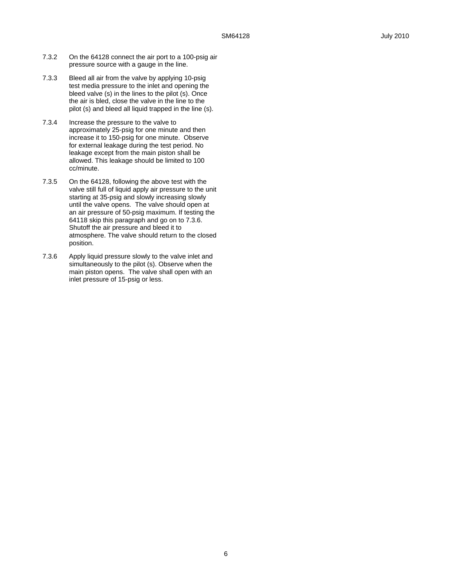- 7.3.2 On the 64128 connect the air port to a 100-psig air pressure source with a gauge in the line.
- 7.3.3 Bleed all air from the valve by applying 10-psig test media pressure to the inlet and opening the bleed valve (s) in the lines to the pilot (s). Once the air is bled, close the valve in the line to the pilot (s) and bleed all liquid trapped in the line (s).
- 7.3.4 Increase the pressure to the valve to approximately 25-psig for one minute and then increase it to 150-psig for one minute. Observe for external leakage during the test period. No leakage except from the main piston shall be allowed. This leakage should be limited to 100 cc/minute.
- 7.3.5 On the 64128, following the above test with the valve still full of liquid apply air pressure to the unit starting at 35-psig and slowly increasing slowly until the valve opens. The valve should open at an air pressure of 50-psig maximum. If testing the 64118 skip this paragraph and go on to 7.3.6. Shutoff the air pressure and bleed it to atmosphere. The valve should return to the closed position.
- 7.3.6 Apply liquid pressure slowly to the valve inlet and simultaneously to the pilot (s). Observe when the main piston opens. The valve shall open with an inlet pressure of 15-psig or less.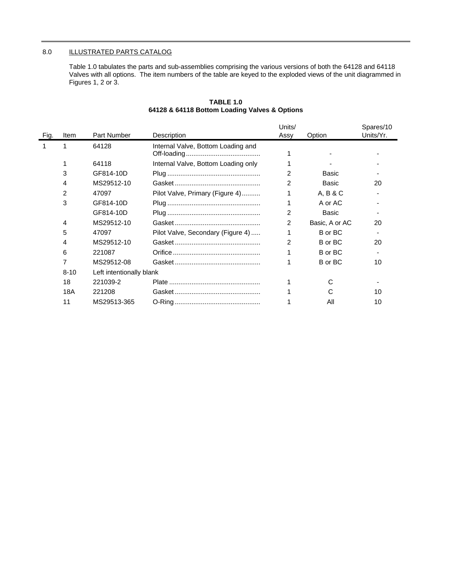## 8.0 ILLUSTRATED PARTS CATALOG

Table 1.0 tabulates the parts and sub-assemblies comprising the various versions of both the 64128 and 64118 Valves with all options. The item numbers of the table are keyed to the exploded views of the unit diagrammed in Figures 1, 2 or 3.

| Fig. | Item           | Part Number              | Description                         | Units/<br>Assy | Option         | Spares/10<br>Units/Yr. |
|------|----------------|--------------------------|-------------------------------------|----------------|----------------|------------------------|
|      |                | 64128                    | Internal Valve, Bottom Loading and  |                |                |                        |
|      |                | 64118                    | Internal Valve, Bottom Loading only |                |                |                        |
|      | 3              | GF814-10D                |                                     | 2              | Basic          |                        |
|      | 4              | MS29512-10               |                                     | 2              | Basic          | 20                     |
|      | $\overline{2}$ | 47097                    | Pilot Valve, Primary (Figure 4)     |                | A, B & C       |                        |
|      | 3              | GF814-10D                |                                     |                | A or AC        |                        |
|      |                | GF814-10D                |                                     | 2              | Basic          |                        |
|      | 4              | MS29512-10               |                                     | $\mathcal{P}$  | Basic, A or AC | 20                     |
|      | 5              | 47097                    | Pilot Valve, Secondary (Figure 4)   |                | B or BC        |                        |
|      | 4              | MS29512-10               |                                     | $\overline{2}$ | B or BC        | 20                     |
|      | 6              | 221087                   |                                     |                | B or BC        |                        |
|      | 7              | MS29512-08               |                                     |                | B or BC        | 10                     |
|      | $8 - 10$       | Left intentionally blank |                                     |                |                |                        |
|      | 18             | 221039-2                 |                                     |                |                |                        |
|      | 18A            | 221208                   |                                     |                |                | 10                     |
|      | 11             | MS29513-365              |                                     |                | Αll            | 10                     |

## **TABLE 1.0 64128 & 64118 Bottom Loading Valves & Options**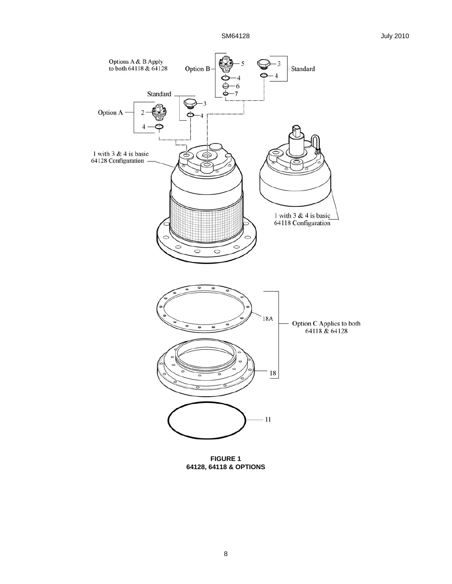SM64128 July 2010



**FIGURE 1 64128, 64118 & OPTIONS**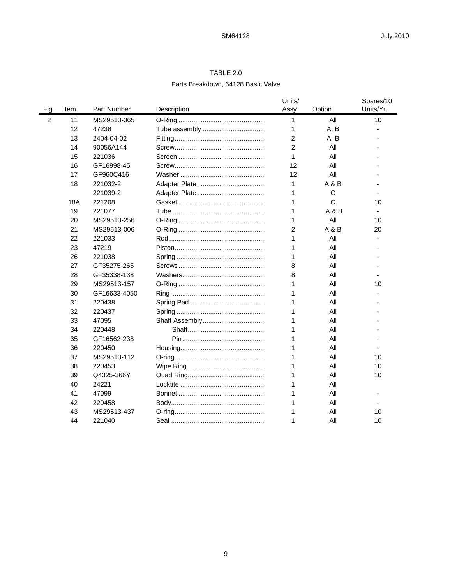# TABLE 2.0 Parts Breakdown, 64128 Basic Valve

|      |              |                |                |        | Spares/10 |
|------|--------------|----------------|----------------|--------|-----------|
| Item | Part Number  | Description    | Assy           | Option | Units/Yr. |
| 11   | MS29513-365  |                | 1              | All    | 10        |
| 12   | 47238        | Tube assembly  | 1              | A, B   |           |
| 13   | 2404-04-02   |                | 2              | A, B   |           |
| 14   | 90056A144    |                | $\overline{2}$ | All    |           |
| 15   | 221036       |                | 1              | Αll    |           |
| 16   | GF16998-45   |                | 12             | All    |           |
| 17   | GF960C416    |                | 12             | All    |           |
| 18   | 221032-2     |                | 1              | A & B  |           |
|      | 221039-2     |                | 1              | C      |           |
| 18A  | 221208       |                | 1              | C      | 10        |
| 19   | 221077       |                | 1              | A & B  |           |
| 20   | MS29513-256  |                | 1              | All    | 10        |
| 21   | MS29513-006  |                | $\overline{2}$ | A & B  | 20        |
| 22   | 221033       |                | 1              | All    |           |
| 23   | 47219        |                | 1              | All    |           |
| 26   | 221038       |                | 1              | All    |           |
| 27   | GF35275-265  |                | 8              | All    |           |
| 28   | GF35338-138  |                | 8              | All    |           |
| 29   | MS29513-157  |                | 1              | All    | 10        |
| 30   | GF16633-4050 |                | 1              | All    |           |
| 31   | 220438       |                | 1              | All    |           |
| 32   | 220437       |                | 1              | All    |           |
| 33   | 47095        | Shaft Assembly | 1              | All    |           |
| 34   | 220448       |                |                | All    |           |
| 35   | GF16562-238  |                | 1              | All    |           |
| 36   | 220450       |                | 1              | All    |           |
| 37   | MS29513-112  |                | 1              | All    | 10        |
| 38   | 220453       |                | 1              | All    | 10        |
| 39   | Q4325-366Y   |                | 1              | All    | 10        |
| 40   | 24221        |                | 1              | All    |           |
| 41   | 47099        |                | 1              | All    |           |
| 42   | 220458       |                | 1              | Αll    |           |
| 43   | MS29513-437  |                | 1              | All    | 10        |
| 44   | 221040       |                | 1              | All    | 10        |
|      |              |                |                | Units/ |           |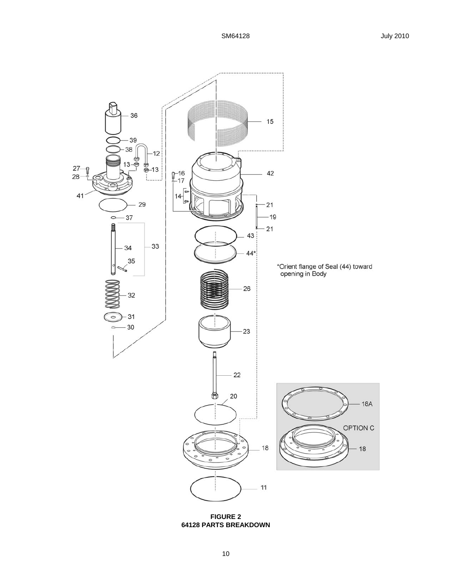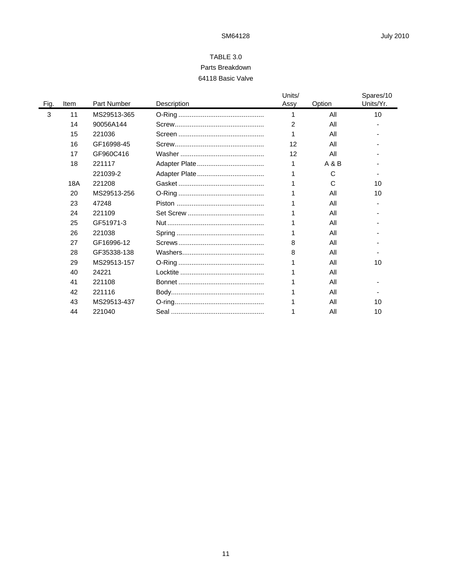# TABLE 3.0 Parts Breakdown 64118 Basic Valve

|      |      |             |             | Units/ |        | Spares/10 |
|------|------|-------------|-------------|--------|--------|-----------|
| Fig. | Item | Part Number | Description | Assy   | Option | Units/Yr. |
| 3    | 11   | MS29513-365 |             |        | All    | 10        |
|      | 14   | 90056A144   |             | 2      | All    |           |
|      | 15   | 221036      |             |        | All    |           |
|      | 16   | GF16998-45  |             | 12     | All    |           |
|      | 17   | GF960C416   |             | 12     | All    |           |
|      | 18   | 221117      |             |        | A & B  |           |
|      |      | 221039-2    |             |        | C      |           |
|      | 18A  | 221208      |             |        | C      | 10        |
|      | 20   | MS29513-256 |             |        | All    | 10        |
|      | 23   | 47248       |             |        | All    |           |
|      | 24   | 221109      |             |        | All    |           |
|      | 25   | GF51971-3   |             |        | All    |           |
|      | 26   | 221038      |             |        | All    |           |
|      | 27   | GF16996-12  |             | 8      | All    |           |
|      | 28   | GF35338-138 |             | 8      | All    |           |
|      | 29   | MS29513-157 |             |        | All    | 10        |
|      | 40   | 24221       |             |        | All    |           |
|      | 41   | 221108      |             |        | All    |           |
|      | 42   | 221116      |             |        | All    |           |
|      | 43   | MS29513-437 |             |        | All    | 10        |
|      | 44   | 221040      |             |        | All    | 10        |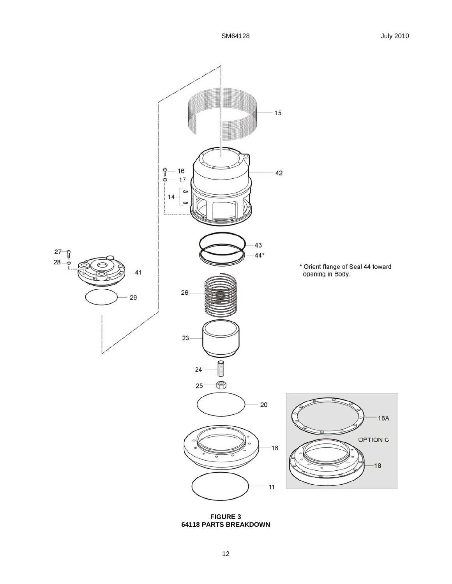

**64118 PARTS BREAKDOWN**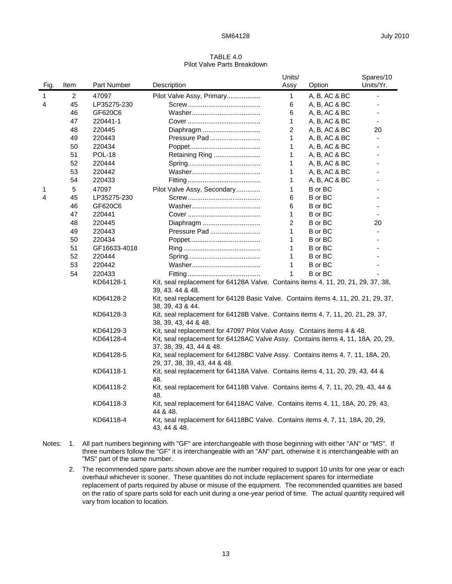### TABLE 4.0 Pilot Valve Parts Breakdown

|              |                |               |                                                                                                                 | Units/                                                                   |                | Spares/10 |  |  |
|--------------|----------------|---------------|-----------------------------------------------------------------------------------------------------------------|--------------------------------------------------------------------------|----------------|-----------|--|--|
| Fig.         | Item           | Part Number   | Description                                                                                                     | Assy                                                                     | Option         | Units/Yr. |  |  |
| $\mathbf{1}$ | $\overline{2}$ | 47097         | Pilot Valve Assy, Primary                                                                                       | $\mathbf{1}$                                                             | A, B, AC & BC  | ä,        |  |  |
| 4            | 45             | LP35275-230   |                                                                                                                 | 6                                                                        | A, B, AC & BC  |           |  |  |
|              | 46             | GF620C6       |                                                                                                                 | 6                                                                        | A, B, AC & BC  |           |  |  |
|              | 47             | 220441-1      |                                                                                                                 | 1                                                                        | A, B, AC & BC  |           |  |  |
|              | 48             | 220445        | Diaphragm                                                                                                       | 2                                                                        | A, B, AC & BC  | 20        |  |  |
|              | 49             | 220443        | Pressure Pad                                                                                                    | 1                                                                        | A, B, AC & BC  |           |  |  |
|              | 50             | 220434        |                                                                                                                 | 1                                                                        | A, B, AC & BC  |           |  |  |
|              | 51             | <b>POL-18</b> | Retaining Ring                                                                                                  | 1                                                                        | A, B, AC & BC  |           |  |  |
|              | 52             | 220444        |                                                                                                                 | 1                                                                        | A, B, AC & BC  |           |  |  |
|              | 53             | 220442        |                                                                                                                 | 1                                                                        | A, B, AC & BC  |           |  |  |
|              | 54             | 220433        |                                                                                                                 | 1                                                                        | A, B, AC & BC  |           |  |  |
| 1            | 5              | 47097         | Pilot Valve Assy, Secondary                                                                                     | 1                                                                        | B or BC        |           |  |  |
| 4            | 45             | LP35275-230   |                                                                                                                 | 6                                                                        | B or BC        |           |  |  |
|              | 46             | GF620C6       |                                                                                                                 | 6                                                                        | B or BC        |           |  |  |
|              | 47             | 220441        |                                                                                                                 | 1                                                                        | B or BC        |           |  |  |
|              | 48             | 220445        | Diaphragm                                                                                                       | $\overline{c}$                                                           | B or BC        | 20        |  |  |
|              | 49             | 220443        | Pressure Pad                                                                                                    | 1                                                                        | B or BC        |           |  |  |
|              | 50             | 220434        |                                                                                                                 | 1                                                                        | B or BC        |           |  |  |
|              | 51             | GF16633-4018  |                                                                                                                 | 1                                                                        | B or BC        |           |  |  |
|              | 52             | 220444        |                                                                                                                 | 1                                                                        | B or BC        |           |  |  |
|              | 53             | 220442        |                                                                                                                 | 1                                                                        | B or BC        |           |  |  |
|              | 54             | 220433        |                                                                                                                 | 1                                                                        | <b>B</b> or BC |           |  |  |
|              |                | KD64128-1     | Kit, seal replacement for 64128A Valve. Contains items 4, 11, 20, 21, 29, 37, 38,<br>39, 43, 44 & 48.           |                                                                          |                |           |  |  |
|              |                | KD64128-2     | Kit, seal replacement for 64128 Basic Valve. Contains items 4, 11, 20, 21, 29, 37,<br>38, 39, 43 & 44.          |                                                                          |                |           |  |  |
|              |                | KD64128-3     | Kit, seal replacement for 64128B Valve. Contains items 4, 7, 11, 20, 21, 29, 37,<br>38, 39, 43, 44 & 48.        |                                                                          |                |           |  |  |
|              |                | KD64129-3     |                                                                                                                 | Kit, seal replacement for 47097 Pilot Valve Assy. Contains items 4 & 48. |                |           |  |  |
|              |                | KD64128-4     | Kit, seal replacement for 64128AC Valve Assy. Contains items 4, 11, 18A, 20, 29,<br>37, 38, 39, 43, 44 & 48.    |                                                                          |                |           |  |  |
|              |                | KD64128-5     | Kit, seal replacement for 64128BC Valve Assy. Contains items 4, 7, 11, 18A, 20,<br>29, 37, 38, 39, 43, 44 & 48. |                                                                          |                |           |  |  |
|              |                | KD64118-1     | Kit, seal replacement for 64118A Valve. Contains items 4, 11, 20, 29, 43, 44 &<br>48.                           |                                                                          |                |           |  |  |
|              |                | KD64118-2     | Kit, seal replacement for 64118B Valve. Contains items 4, 7, 11, 20, 29, 43, 44 &<br>48.                        |                                                                          |                |           |  |  |
|              |                | KD64118-3     | Kit, seal replacement for 64118AC Valve. Contains items 4, 11, 18A, 20, 29, 43,<br>44 & 48.                     |                                                                          |                |           |  |  |
|              |                | KD64118-4     | Kit, seal replacement for 64118BC Valve. Contains items 4, 7, 11, 18A, 20, 29,<br>43, 44 & 48.                  |                                                                          |                |           |  |  |
|              |                |               |                                                                                                                 |                                                                          |                |           |  |  |

- Notes: 1. All part numbers beginning with "GF" are interchangeable with those beginning with either "AN" or "MS". If three numbers follow the "GF" it is interchangeable with an "AN" part, otherwise it is interchangeable with an "MS" part of the same number.
	- 2. The recommended spare parts shown above are the number required to support 10 units for one year or each overhaul whichever is sooner. These quantities do not include replacement spares for intermediate replacement of parts required by abuse or misuse of the equipment. The recommended quantities are based on the ratio of spare parts sold for each unit during a one-year period of time. The actual quantity required will vary from location to location.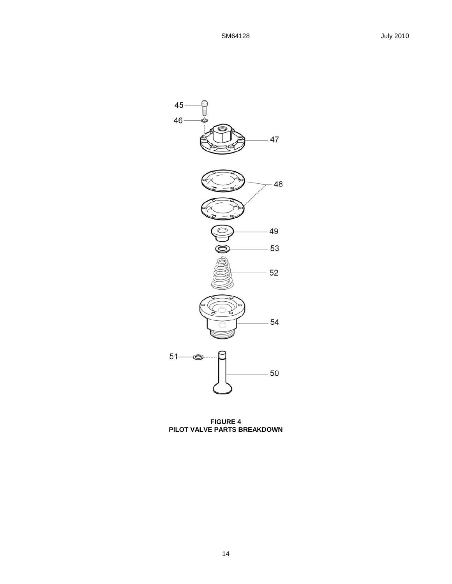

**FIGURE 4 PILOT VALVE PARTS BREAKDOWN**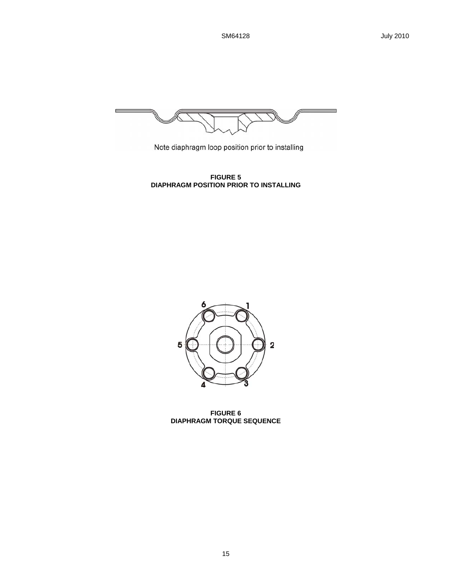

Note diaphragm loop position prior to installing

**FIGURE 5 DIAPHRAGM POSITION PRIOR TO INSTALLING** 



**FIGURE 6 DIAPHRAGM TORQUE SEQUENCE**